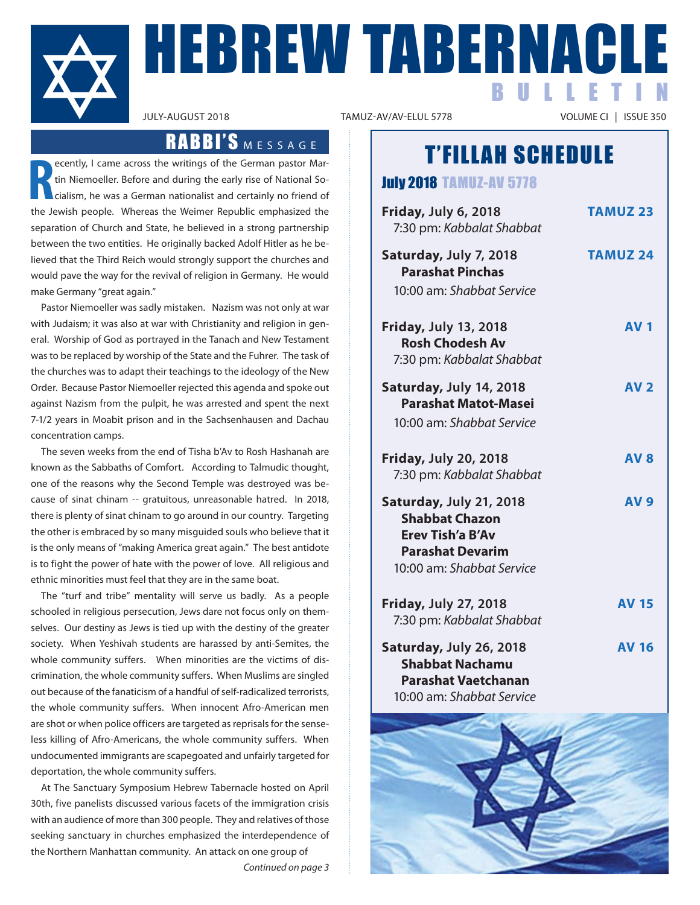

# HEBREW TABERNACLE BULLETIN

VOLUME CI | ISSUE 350

# T'FILLAH SCHEDULE

July 2018 TAMUZ-AV 5778

| Friday, July 6, 2018<br>7:30 pm: Kabbalat Shabbat                                                                                   | <b>TAMUZ 23</b> |
|-------------------------------------------------------------------------------------------------------------------------------------|-----------------|
| Saturday, July 7, 2018<br><b>Parashat Pinchas</b><br>10:00 am: Shabbat Service                                                      | <b>TAMUZ 24</b> |
| <b>Friday, July 13, 2018</b><br><b>Rosh Chodesh Av</b><br>7:30 pm: Kabbalat Shabbat                                                 | <b>AV1</b>      |
| Saturday, July 14, 2018<br><b>Parashat Matot-Masei</b><br>10:00 am: Shabbat Service                                                 | <b>AV 2</b>     |
| <b>Friday, July 20, 2018</b><br>7:30 pm: Kabbalat Shabbat                                                                           | <b>AV8</b>      |
| Saturday, July 21, 2018<br><b>Shabbat Chazon</b><br><b>Erev Tish'a B'Av</b><br><b>Parashat Devarim</b><br>10:00 am: Shabbat Service | <b>AV9</b>      |
| <b>Friday, July 27, 2018</b><br>7:30 pm: Kabbalat Shabbat                                                                           | <b>AV 15</b>    |
| Saturday, July 26, 2018<br><b>Shabbat Nachamu</b><br><b>Parashat Vaetchanan</b><br>10:00 am: Shabbat Service                        | <b>AV 16</b>    |



## RABBI'S MESSAGE

**R** ecently, I came across the writings of the German pastor Martin Niemoeller. Before and during the early rise of National Socialism, he was a German nationalist and certainly no friend of the Jewish people. Whereas the Weimer Republic emphasized the separation of Church and State, he believed in a strong partnership between the two entities. He originally backed Adolf Hitler as he believed that the Third Reich would strongly support the churches and would pave the way for the revival of religion in Germany. He would make Germany "great again."

Pastor Niemoeller was sadly mistaken. Nazism was not only at war with Judaism; it was also at war with Christianity and religion in general. Worship of God as portrayed in the Tanach and New Testament was to be replaced by worship of the State and the Fuhrer. The task of the churches was to adapt their teachings to the ideology of the New Order. Because Pastor Niemoeller rejected this agenda and spoke out against Nazism from the pulpit, he was arrested and spent the next 7-1/2 years in Moabit prison and in the Sachsenhausen and Dachau concentration camps.

The seven weeks from the end of Tisha b'Av to Rosh Hashanah are known as the Sabbaths of Comfort. According to Talmudic thought, one of the reasons why the Second Temple was destroyed was because of sinat chinam -- gratuitous, unreasonable hatred. In 2018, there is plenty of sinat chinam to go around in our country. Targeting the other is embraced by so many misguided souls who believe that it is the only means of "making America great again." The best antidote is to fight the power of hate with the power of love. All religious and ethnic minorities must feel that they are in the same boat.

The "turf and tribe" mentality will serve us badly. As a people schooled in religious persecution, Jews dare not focus only on themselves. Our destiny as Jews is tied up with the destiny of the greater society. When Yeshivah students are harassed by anti-Semites, the whole community suffers. When minorities are the victims of discrimination, the whole community suffers. When muslims are singled out because of the fanaticism of a handful of self-radicalized terrorists, the whole community suffers. When innocent Afro-American men are shot or when police officers are targeted as reprisals for the senseless killing of Afro-Americans, the whole community suffers. When undocumented immigrants are scapegoated and unfairly targeted for deportation, the whole community suffers.

At The Sanctuary Symposium Hebrew Tabernacle hosted on April 30th, five panelists discussed various facets of the immigration crisis with an audience of more than 300 people. They and relatives of those seeking sanctuary in churches emphasized the interdependence of the Northern manhattan community. An attack on one group of

*Continued on page 3*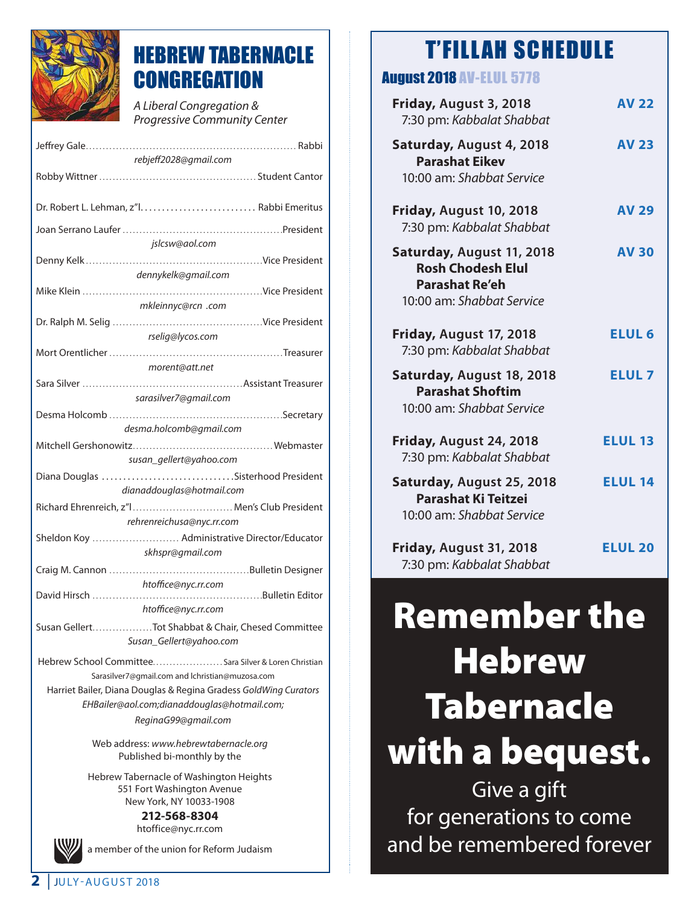

# HEBREW TABERNACLE **CONGREGATION**

*A Liberal Congregation & Progressive Community Center* 

| rebjeff2028@gmail.com                                                                                               |  |  |
|---------------------------------------------------------------------------------------------------------------------|--|--|
|                                                                                                                     |  |  |
|                                                                                                                     |  |  |
|                                                                                                                     |  |  |
|                                                                                                                     |  |  |
| jslcsw@aol.com                                                                                                      |  |  |
|                                                                                                                     |  |  |
| dennykelk@gmail.com                                                                                                 |  |  |
|                                                                                                                     |  |  |
| mkleinnyc@rcn .com                                                                                                  |  |  |
|                                                                                                                     |  |  |
| rselig@lycos.com                                                                                                    |  |  |
|                                                                                                                     |  |  |
| morent@att.net                                                                                                      |  |  |
|                                                                                                                     |  |  |
| sarasilver7@gmail.com                                                                                               |  |  |
|                                                                                                                     |  |  |
| desma.holcomb@gmail.com                                                                                             |  |  |
|                                                                                                                     |  |  |
| susan_gellert@yahoo.com                                                                                             |  |  |
| Diana Douglas Sisterhood President                                                                                  |  |  |
| dianaddouglas@hotmail.com                                                                                           |  |  |
| Richard Ehrenreich, z"I Men's Club President                                                                        |  |  |
| rehrenreichusa@nyc.rr.com                                                                                           |  |  |
| Sheldon Koy  Administrative Director/Educator                                                                       |  |  |
| skhspr@gmail.com                                                                                                    |  |  |
|                                                                                                                     |  |  |
| htoffice@nyc.rr.com                                                                                                 |  |  |
| htoffice@nyc.rr.com                                                                                                 |  |  |
| Susan GellertTot Shabbat & Chair, Chesed Committee                                                                  |  |  |
| Susan Gellert@yahoo.com                                                                                             |  |  |
|                                                                                                                     |  |  |
| Hebrew School CommitteeSara Silver & Loren Christian                                                                |  |  |
| Sarasilver7@gmail.com and lchristian@muzosa.com<br>Harriet Bailer, Diana Douglas & Regina Gradess GoldWing Curators |  |  |
| EHBailer@aol.com;dianaddouglas@hotmail.com;                                                                         |  |  |
| ReginaG99@gmail.com                                                                                                 |  |  |
|                                                                                                                     |  |  |

Web address: *www.hebrewtabernacle.org* Published bi-monthly by the

Hebrew Tabernacle of Washington Heights 551 Fort Washington Avenue New York, NY 10033-1908

**212-568-8304** htoffice@nyc.rr.com

a member of the union for Reform Judaism

# T'FILLAH SCHEDULE

## August 2018 AV-ELUL 5778

| Friday, August 3, 2018<br>7:30 pm: Kabbalat Shabbat                                                         | <b>AV 22</b>   |
|-------------------------------------------------------------------------------------------------------------|----------------|
| Saturday, August 4, 2018<br><b>Parashat Eikev</b><br>10:00 am: Shabbat Service                              | <b>AV 23</b>   |
| Friday, August 10, 2018<br>7:30 pm: Kabbalat Shabbat                                                        | <b>AV 29</b>   |
| Saturday, August 11, 2018<br><b>Rosh Chodesh Elul</b><br><b>Parashat Re'eh</b><br>10:00 am: Shabbat Service | <b>AV 30</b>   |
| Friday, August 17, 2018<br>7:30 pm: Kabbalat Shabbat                                                        | <b>ELUL 6</b>  |
| Saturday, August 18, 2018<br><b>Parashat Shoftim</b><br>10:00 am: Shabbat Service                           | <b>ELUL7</b>   |
| Friday, August 24, 2018<br>7:30 pm: Kabbalat Shabbat                                                        | <b>ELUL 13</b> |
| Saturday, August 25, 2018<br><b>Parashat Ki Teitzei</b><br>10:00 am: Shabbat Service                        | <b>ELUL 14</b> |
| Friday, August 31, 2018<br>7:30 pm: Kabbalat Shabbat                                                        | <b>ELUL 20</b> |

# Remember the **Hebrew Tabernacle** with a bequest.

Give a gift for generations to come and be remembered forever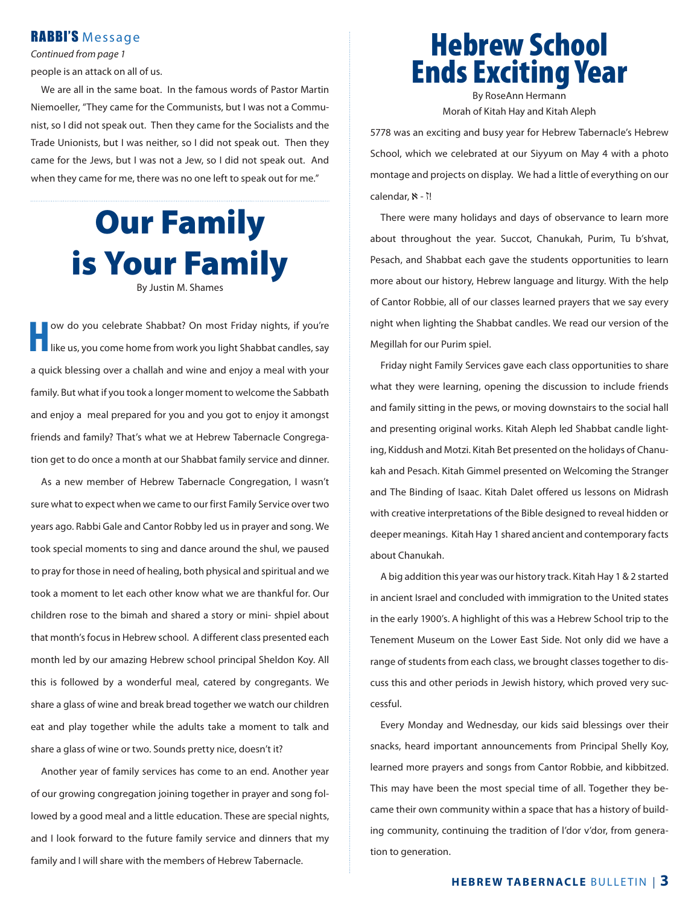### RABBI'S Message

*Continued from page 1*

people is an attack on all of us.

We are all in the same boat. In the famous words of Pastor Martin Niemoeller, "They came for the Communists, but I was not a Communist, so I did not speak out. Then they came for the Socialists and the Trade Unionists, but I was neither, so I did not speak out. Then they came for the Jews, but I was not a Jew, so I did not speak out. And when they came for me, there was no one left to speak out for me."

# Our Family is Your Family By Justin m. Shames

ow do you celebrate Shabbat? On most Friday nights, if you're like us, you come home from work you light Shabbat candles, say a quick blessing over a challah and wine and enjoy a meal with your family. But what if you took a longer moment to welcome the Sabbath and enjoy a meal prepared for you and you got to enjoy it amongst friends and family? That's what we at Hebrew Tabernacle Congregation get to do once a month at our Shabbat family service and dinner.

As a new member of Hebrew Tabernacle Congregation, I wasn't sure what to expect when we came to our first Family Service over two years ago. Rabbi Gale and Cantor Robby led us in prayer and song. We took special moments to sing and dance around the shul, we paused to pray for those in need of healing, both physical and spiritual and we took a moment to let each other know what we are thankful for. Our children rose to the bimah and shared a story or mini- shpiel about that month's focus in Hebrew school. A different class presented each month led by our amazing Hebrew school principal Sheldon Koy. All this is followed by a wonderful meal, catered by congregants. We share a glass of wine and break bread together we watch our children eat and play together while the adults take a moment to talk and share a glass of wine or two. Sounds pretty nice, doesn't it?

Another year of family services has come to an end. Another year of our growing congregation joining together in prayer and song followed by a good meal and a little education. These are special nights, and I look forward to the future family service and dinners that my family and I will share with the members of Hebrew Tabernacle.

## Hebrew School Ends Exciting Year By RoseAnn Hermann

morah of Kitah Hay and Kitah Aleph

5778 was an exciting and busy year for Hebrew Tabernacle's Hebrew School, which we celebrated at our Siyyum on May 4 with a photo montage and projects on display. We had a little of everything on our calendar,  $\aleph$  -  $\uparrow$ !

There were many holidays and days of observance to learn more about throughout the year. Succot, Chanukah, Purim, Tu b'shvat, Pesach, and Shabbat each gave the students opportunities to learn more about our history, Hebrew language and liturgy. With the help of Cantor Robbie, all of our classes learned prayers that we say every night when lighting the Shabbat candles. We read our version of the Megillah for our Purim spiel.

Friday night Family Services gave each class opportunities to share what they were learning, opening the discussion to include friends and family sitting in the pews, or moving downstairs to the social hall and presenting original works. Kitah Aleph led Shabbat candle lighting, Kiddush and motzi. Kitah Bet presented on the holidays of Chanukah and Pesach. Kitah Gimmel presented on Welcoming the Stranger and The Binding of Isaac. Kitah Dalet offered us lessons on midrash with creative interpretations of the Bible designed to reveal hidden or deeper meanings. Kitah Hay 1 shared ancient and contemporary facts about Chanukah.

A big addition this year was our history track. Kitah Hay 1 & 2 started in ancient Israel and concluded with immigration to the United states in the early 1900's. A highlight of this was a Hebrew School trip to the Tenement Museum on the Lower East Side. Not only did we have a range of students from each class, we brought classes together to discuss this and other periods in Jewish history, which proved very successful.

Every Monday and Wednesday, our kids said blessings over their snacks, heard important announcements from Principal Shelly Koy, learned more prayers and songs from Cantor Robbie, and kibbitzed. This may have been the most special time of all. Together they became their own community within a space that has a history of building community, continuing the tradition of l'dor v'dor, from generation to generation.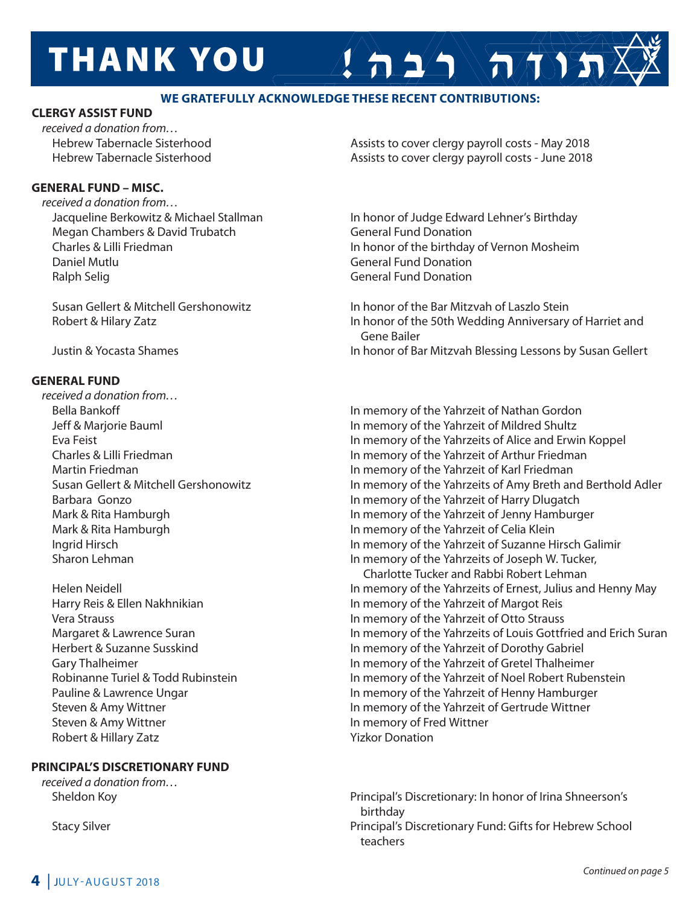# **THANK YOU**

### **wE GRATEFUllY ACKNOwlEDGE ThESE RECENT CONTRIBUTIONS:**

#### **ClERGY ASSIST FUND**

*received a donation from…*

#### **GENERAl FUND – MISC.**

*received a donation from…* Megan Chambers & David Trubatch General Fund Donation Daniel mutlu General Fund Donation Ralph Selig General Fund Donation

#### **GENERAl FUND**

*received a donation from…*

Steven & Amy Wittner **In the Contract of Transform Contract America** In memory of Fred Wittner Robert & Hillary Zatz **Yizkor Donation** 

### **PRINCIPAl'S DISCRETIONARY FUND**

*received a donation from…* 

 Hebrew Tabernacle Sisterhood Assists to cover clergy payroll costs - may 2018 Hebrew Tabernacle Sisterhood Assists to cover clergy payroll costs - June 2018

 $A 2/2$ 

 Jacqueline Berkowitz & michael Stallman In honor of Judge Edward Lehner's Birthday Charles & Lilli Friedman In honor of the birthday of Vernon mosheim

Susan Gellert & Mitchell Gershonowitz **In honor of the Bar Mitzvah of Laszlo Stein** Robert & Hilary Zatz **In honor of the 50th Wedding Anniversary of Harriet and**  Gene Bailer Justin & Yocasta Shames **In honor of Bar Mitzvah Blessing Lessons by Susan Gellert** 

Bella Bankoff **In memory of the Yahrzeit of Nathan Gordon** In memory of the Yahrzeit of Nathan Gordon Jeff & marjorie Bauml In memory of the Yahrzeit of mildred Shultz Eva Feist In memory of the Yahrzeits of Alice and Erwin Koppel Charles & Lilli Friedman In memory of the Yahrzeit of Arthur Friedman martin Friedman In memory of the Yahrzeit of Karl Friedman Susan Gellert & mitchell Gershonowitz In memory of the Yahrzeits of Amy Breth and Berthold Adler Barbara Gonzo In memory of the Yahrzeit of Harry Dlugatch Mark & Rita Hamburgh **In memory of the Yahrzeit of Jenny Hamburger** In memory of the Yahrzeit of Jenny Hamburger Mark & Rita Hamburgh **In memory of the Yahrzeit of Celia Klein**  Ingrid Hirsch In memory of the Yahrzeit of Suzanne Hirsch Galimir Sharon Lehman **In memory of the Yahrzeits of Joseph W. Tucker**,

 Charlotte Tucker and Rabbi Robert Lehman Helen Neidell In memory of the Yahrzeits of Ernest, Julius and Henny may Harry Reis & Ellen Nakhnikian **In memory of the Yahrzeit of Margot Reis**  Vera Strauss In memory of the Yahrzeit of Otto Strauss Margaret & Lawrence Suran In memory of the Yahrzeits of Louis Gottfried and Erich Suran Herbert & Suzanne Susskind In memory of the Yahrzeit of Dorothy Gabriel Gary Thalheimer **In the United States In memory of the Yahrzeit of Gretel Thalheimer** Robinanne Turiel & Todd Rubinstein **In Memory of the Yahrzeit of Noel Robert Rubenstein** Pauline & Lawrence Ungar In memory of the Yahrzeit of Henny Hamburger Steven & Amy Wittner In memory of the Yahrzeit of Gertrude Wittner

 Sheldon Koy Principal's Discretionary: In honor of Irina Shneerson's birthday Stacy Silver Principal's Discretionary Fund: Gifts for Hebrew School teachers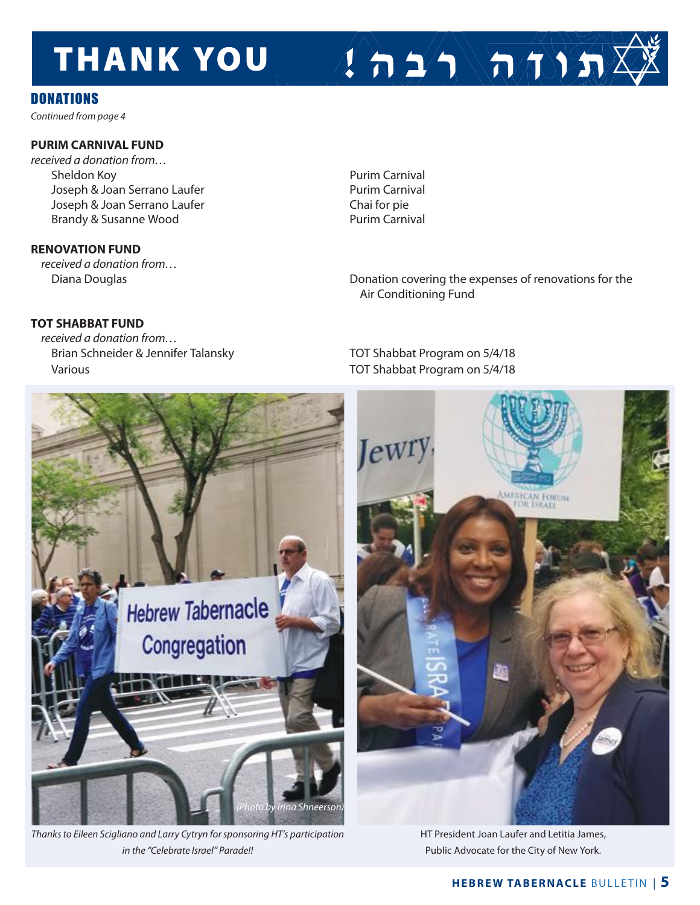# **THANK YOU**

## **DONATIONS**

*Continued from page 4*

### **PURIM CARNIvAl FUND**

*received a donation from…* Sheldon Koy<br>
Joseph & Joan Serrano Laufer<br>
Purim Carnival Joseph & Joan Serrano Laufer Joseph & Joan Serrano Laufer Chai for pie Brandy & Susanne Wood **Purim Carnival** 

#### **RENOvATION FUND**

*received a donation from…*

### **TOT ShABBAT FUND**

*received a donation from…* Brian Schneider & Jennifer Talansky TOT Shabbat Program on 5/4/18 Various TOT Shabbat Program on 5/4/18

Diana Douglas **Diana Douglas** Donation covering the expenses of renovations for the Air Conditioning Fund

 $2 \Delta 2 \Delta \sqrt{\pi} 3 \pi$ 



*Thanks to Eileen Scigliano and Larry Cytryn for sponsoring HT's participation in the "Celebrate Israel" Parade!!*



HT President Joan Laufer and Letitia James, Public Advocate for the City of New York.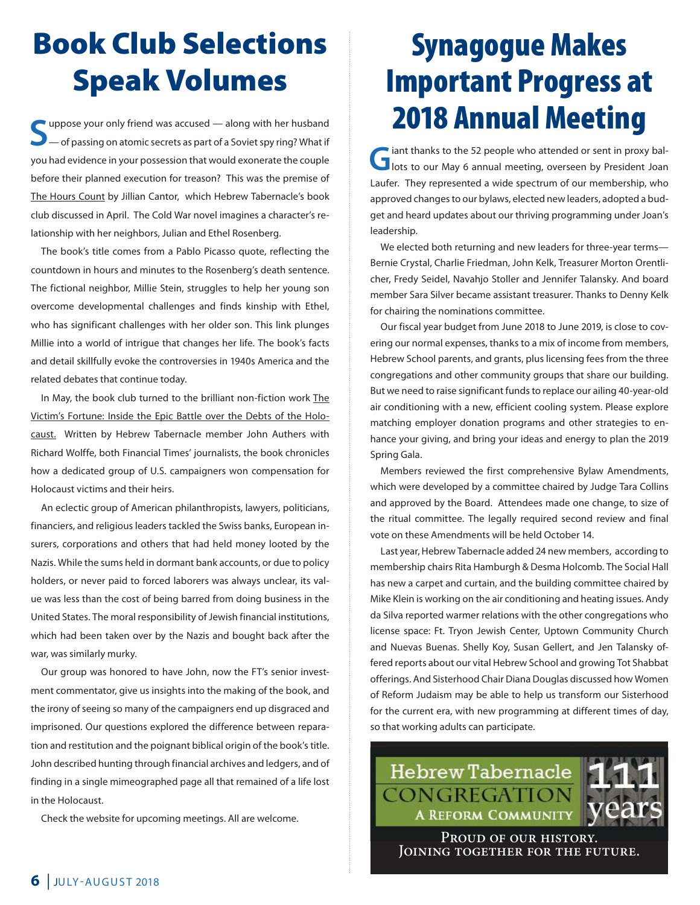# Book Club Selections Speak Volumes

**S**uppose your only friend was accused — along with her husband of passing on atomic secrets as part of a Soviet spy ring? What if you had evidence in your possession that would exonerate the couple before their planned execution for treason? This was the premise of The Hours Count by Jillian Cantor, which Hebrew Tabernacle's book club discussed in April. The Cold War novel imagines a character's relationship with her neighbors, Julian and Ethel Rosenberg.

The book's title comes from a Pablo Picasso quote, reflecting the countdown in hours and minutes to the Rosenberg's death sentence. The fictional neighbor, millie Stein, struggles to help her young son overcome developmental challenges and finds kinship with Ethel, who has significant challenges with her older son. This link plunges millie into a world of intrigue that changes her life. The book's facts and detail skillfully evoke the controversies in 1940s America and the related debates that continue today.

 In may, the book club turned to the brilliant non-fiction work The Victim's Fortune: Inside the Epic Battle over the Debts of the Holocaust. Written by Hebrew Tabernacle member John Authers with Richard Wolffe, both Financial Times' journalists, the book chronicles how a dedicated group of U.S. campaigners won compensation for Holocaust victims and their heirs.

An eclectic group of American philanthropists, lawyers, politicians, financiers, and religious leaders tackled the Swiss banks, European insurers, corporations and others that had held money looted by the Nazis. While the sums held in dormant bank accounts, or due to policy holders, or never paid to forced laborers was always unclear, its value was less than the cost of being barred from doing business in the United States. The moral responsibility of Jewish financial institutions, which had been taken over by the Nazis and bought back after the war, was similarly murky.

Our group was honored to have John, now the FT's senior investment commentator, give us insights into the making of the book, and the irony of seeing so many of the campaigners end up disgraced and imprisoned. Our questions explored the difference between reparation and restitution and the poignant biblical origin of the book's title. John described hunting through financial archives and ledgers, and of finding in a single mimeographed page all that remained of a life lost in the Holocaust.

Check the website for upcoming meetings. All are welcome.

# Synagogue Makes Important Progress at 2018 Annual Meeting

**G**iant thanks to the 52 people who attended or sent in proxy ballots to our May 6 annual meeting, overseen by President Joan Laufer. They represented a wide spectrum of our membership, who approved changes to our bylaws, elected new leaders, adopted a budget and heard updates about our thriving programming under Joan's leadership.

We elected both returning and new leaders for three-year terms— Bernie Crystal, Charlie Friedman, John Kelk, Treasurer morton Orentlicher, Fredy Seidel, Navahjo Stoller and Jennifer Talansky. And board member Sara Silver became assistant treasurer. Thanks to Denny Kelk for chairing the nominations committee.

Our fiscal year budget from June 2018 to June 2019, is close to covering our normal expenses, thanks to a mix of income from members, Hebrew School parents, and grants, plus licensing fees from the three congregations and other community groups that share our building. But we need to raise significant funds to replace our ailing 40-year-old air conditioning with a new, efficient cooling system. Please explore matching employer donation programs and other strategies to enhance your giving, and bring your ideas and energy to plan the 2019 Spring Gala.

 members reviewed the first comprehensive Bylaw Amendments, which were developed by a committee chaired by Judge Tara Collins and approved by the Board. Attendees made one change, to size of the ritual committee. The legally required second review and final vote on these Amendments will be held October 14.

Last year, Hebrew Tabernacle added 24 new members, according to membership chairs Rita Hamburgh & Desma Holcomb. The Social Hall has new a carpet and curtain, and the building committee chaired by mike Klein is working on the air conditioning and heating issues. Andy da Silva reported warmer relations with the other congregations who license space: Ft. Tryon Jewish Center, Uptown Community Church and Nuevas Buenas. Shelly Koy, Susan Gellert, and Jen Talansky offered reports about our vital Hebrew School and growing Tot Shabbat offerings. And Sisterhood Chair Diana Douglas discussed how Women of Reform Judaism may be able to help us transform our Sisterhood for the current era, with new programming at different times of day, so that working adults can participate.

Hebrew Tabernacle CONGREGATION **A REFORM COMMUNITY** Proud of our history.

JOINING TOGETHER FOR THE FUTURE.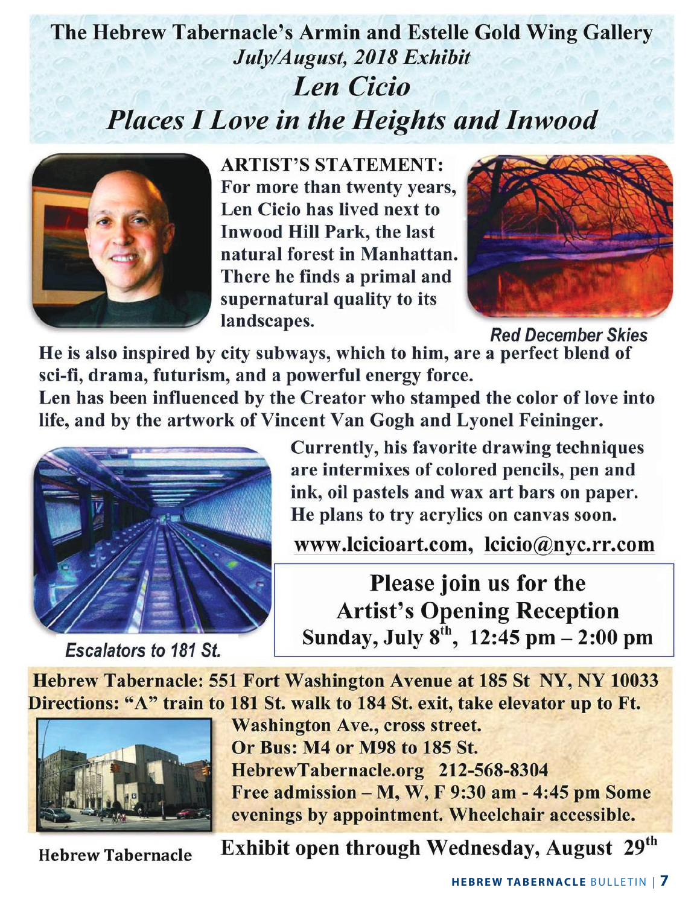# The Hebrew Tabernacle's Armin and Estelle Gold Wing Gallery July/August, 2018 Exhibit **Len Cicio Places I Love in the Heights and Inwood**



**ARTIST'S STATEMENT:** For more than twenty years, Len Cicio has lived next to **Inwood Hill Park, the last** natural forest in Manhattan. There he finds a primal and supernatural quality to its landscapes.



**Red December Skies** 

He is also inspired by city subways, which to him, are a perfect blend of sci-fi, drama, futurism, and a powerful energy force.

Len has been influenced by the Creator who stamped the color of love into life, and by the artwork of Vincent Van Gogh and Lyonel Feininger.



**Escalators to 181 St.** 

Currently, his favorite drawing techniques are intermixes of colored pencils, pen and ink, oil pastels and wax art bars on paper. He plans to try acrylics on canvas soon.

www.lcicioart.com, lcicio@nyc.rr.com

Please join us for the **Artist's Opening Reception** Sunday, July  $8^{th}$ , 12:45 pm  $- 2:00$  pm

Hebrew Tabernacle: 551 Fort Washington Avenue at 185 St NY, NY 10033 Directions: "A" train to 181 St. walk to 184 St. exit, take elevator up to Ft.



**Washington Ave., cross street.** Or Bus: M4 or M98 to 185 St. HebrewTabernacle.org 212-568-8304 Free admission  $-M$ , W, F 9:30 am - 4:45 pm Some evenings by appointment. Wheelchair accessible.

**Hebrew Tabernacle** 

Exhibit open through Wednesday, August 29th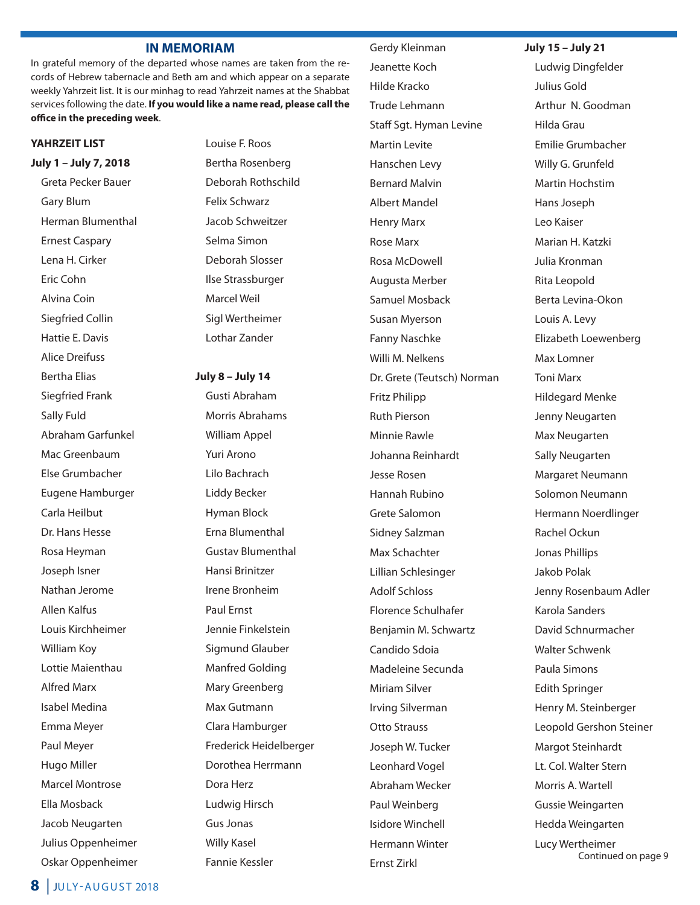#### **IN MEMORIAM**

In grateful memory of the departed whose names are taken from the records of Hebrew tabernacle and Beth am and which appear on a separate weekly Yahrzeit list. It is our minhag to read Yahrzeit names at the Shabbat services following the date. **If you would like a name read, please call the office in the preceding week**.

#### **YAhRZEIT lIST**

**July 1 – July 7, 2018**

Greta Pecker Bauer Gary Blum Herman Blumenthal Ernest Caspary Lena H. Cirker Eric Cohn Alvina Coin Siegfried Collin Hattie E. Davis Alice Dreifuss Bertha Elias Siegfried Frank Sally Fuld Abraham Garfunkel Mac Greenbaum Else Grumbacher Eugene Hamburger Carla Heilbut Dr. Hans Hesse Rosa Heyman Joseph Isner Nathan Jerome Allen Kalfus Louis Kirchheimer William Koy Lottie maienthau Alfred marx Isabel medina Emma Meyer Paul Meyer Hugo Miller Marcel Montrose Ella mosback Jacob Neugarten Julius Oppenheimer Oskar Oppenheimer Louise F. Roos Bertha Rosenberg Deborah Rothschild Felix Schwarz Jacob Schweitzer Selma Simon Deborah Slosser Ilse Strassburger Marcel Weil Sigl Wertheimer Lothar zander

#### **July 8 – July 14**

Gusti Abraham morris Abrahams William Appel Yuri Arono Lilo Bachrach Liddy Becker Hyman Block Erna Blumenthal Gustav Blumenthal Hansi Brinitzer Irene Bronheim Paul Ernst Jennie Finkelstein Sigmund Glauber Manfred Golding Mary Greenberg Max Gutmann Clara Hamburger Frederick Heidelberger Dorothea Herrmann Dora Herz Ludwig Hirsch Gus Jonas Willy Kasel Fannie Kessler

 Gerdy Kleinman Jeanette Koch Hilde Kracko Trude Lehmann Staff Sgt. Hyman Levine **Martin Levite**  Hanschen Levy **Bernard Malvin**  Albert mandel Henry Marx Rose Marx Rosa McDowell Augusta merber Samuel mosback Susan Myerson Fanny Naschke Willi M. Nelkens Dr. Grete (Teutsch) Norman Fritz Philipp Ruth Pierson Minnie Rawle Johanna Reinhardt Jesse Rosen Hannah Rubino Grete Salomon Sidney Salzman Max Schachter Lillian Schlesinger Adolf Schloss Florence Schulhafer Benjamin M. Schwartz Candido Sdoia madeleine Secunda Miriam Silver Irving Silverman Otto Strauss Joseph W. Tucker Leonhard Vogel Abraham Wecker Paul Weinberg Isidore Winchell Hermann Winter Ernst zirkl

**July 15 – July 21**

Ludwig Dingfelder Julius Gold Arthur N. Goodman Hilda Grau Emilie Grumbacher Willy G. Grunfeld Martin Hochstim Hans Joseph Leo Kaiser marian H. Katzki Julia Kronman Rita Leopold Berta Levina-Okon Louis A. Levy Elizabeth Loewenberg Max Lomner **Toni Marx** Hildegard menke Jenny Neugarten Max Neugarten Sally Neugarten margaret Neumann Solomon Neumann Hermann Noerdlinger Rachel Ockun Jonas Phillips Jakob Polak Jenny Rosenbaum Adler Karola Sanders David Schnurmacher Walter Schwenk Paula Simons Edith Springer Henry M. Steinberger Leopold Gershon Steiner Margot Steinhardt Lt. Col. Walter Stern Morris A. Wartell Gussie Weingarten Hedda Weingarten Lucy Wertheimer

Continued on page 9

**8** JULY-AUGUST 2018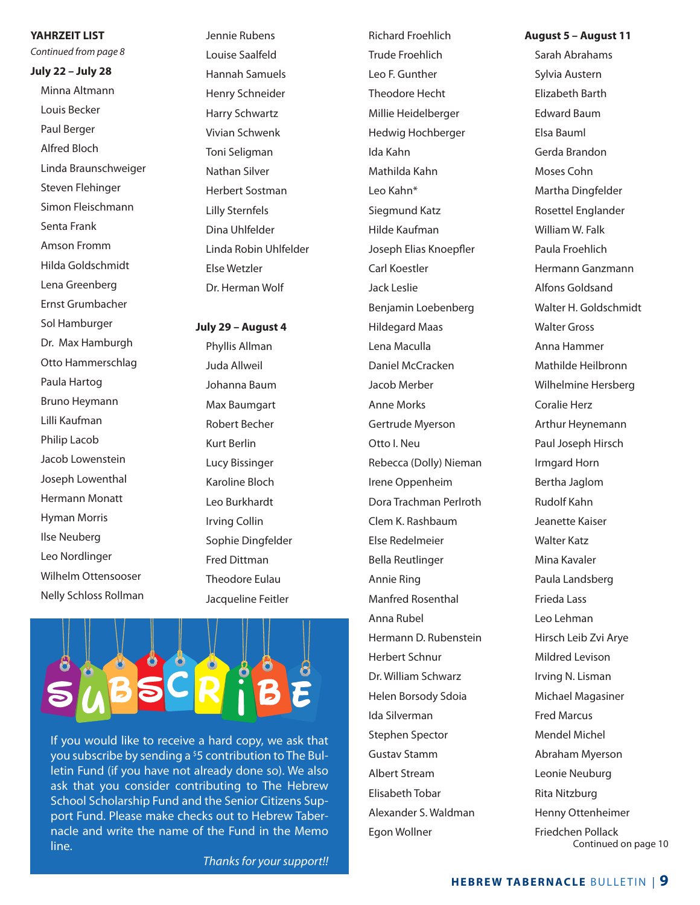**YAhRZEIT lIST**

*Continued from page 8*

**July 22 – July 28**

Minna Altmann Louis Becker Paul Berger Alfred Bloch Linda Braunschweiger Steven Flehinger Simon Fleischmann Senta Frank Amson Fromm Hilda Goldschmidt Lena Greenberg Ernst Grumbacher Sol Hamburger Dr. Max Hamburgh Otto Hammerschlag Paula Hartog Bruno Heymann Lilli Kaufman Philip Lacob Jacob Lowenstein Joseph Lowenthal Hermann Monatt Hyman Morris Ilse Neuberg Leo Nordlinger Wilhelm Ottensooser Nelly Schloss Rollman

 Jennie Rubens Louise Saalfeld Hannah Samuels Henry Schneider Harry Schwartz Vivian Schwenk Toni Seligman Nathan Silver Herbert Sostman Lilly Sternfels Dina Uhlfelder Linda Robin Uhlfelder Else Wetzler Dr. Herman Wolf

**July 29 – August 4**

 Phyllis Allman Juda Allweil Johanna Baum Max Baumgart Robert Becher Kurt Berlin Lucy Bissinger Karoline Bloch Leo Burkhardt Irving Collin Sophie Dingfelder Fred Dittman Theodore Eulau Jacqueline Feitler



If you would like to receive a hard copy, we ask that you subscribe by sending a <sup>\$</sup>5 contribution to The Bulletin Fund (if you have not already done so). We also ask that you consider contributing to The Hebrew School Scholarship Fund and the Senior Citizens Support Fund. Please make checks out to Hebrew Tabernacle and write the name of the Fund in the memo line.

 Trude Froehlich Leo F. Gunther Theodore Hecht millie Heidelberger Hedwig Hochberger Ida Kahn mathilda Kahn Leo Kahn\* Siegmund Katz Hilde Kaufman Joseph Elias Knoepfler Carl Koestler Jack Leslie Benjamin Loebenberg Hildegard maas Lena Maculla Daniel McCracken Jacob merber **Anne Morks** Gertrude Mverson Otto I. Neu Rebecca (Dolly) Nieman Irene Oppenheim Dora Trachman Perlroth Clem K. Rashbaum Else Redelmeier Bella Reutlinger Annie Ring Manfred Rosenthal Anna Rubel Hermann D. Rubenstein Herbert Schnur Dr. William Schwarz Helen Borsody Sdoia Ida Silverman Stephen Spector Gustav Stamm Albert Stream Elisabeth Tobar Alexander S. Waldman Egon Wollner

Richard Froehlich

**August 5 – August 11**

 Sarah Abrahams Sylvia Austern Elizabeth Barth Edward Baum Elsa Bauml Gerda Brandon moses Cohn Martha Dingfelder Rosettel Englander William W. Falk Paula Froehlich Hermann Ganzmann Alfons Goldsand Walter H. Goldschmidt Walter Gross Anna Hammer mathilde Heilbronn Wilhelmine Hersberg Coralie Herz Arthur Heynemann Paul Joseph Hirsch Irmgard Horn Bertha Jaglom Rudolf Kahn Jeanette Kaiser Walter Katz Mina Kavaler Paula Landsberg Frieda Lass Leo Lehman Hirsch Leib zvi Arye mildred Levison Irving N. Lisman michael magasiner Fred marcus Mendel Michel Abraham Myerson Leonie Neuburg Rita Nitzburg Henny Ottenheimer Friedchen Pollack Continued on page 10

*Thanks for your support!!*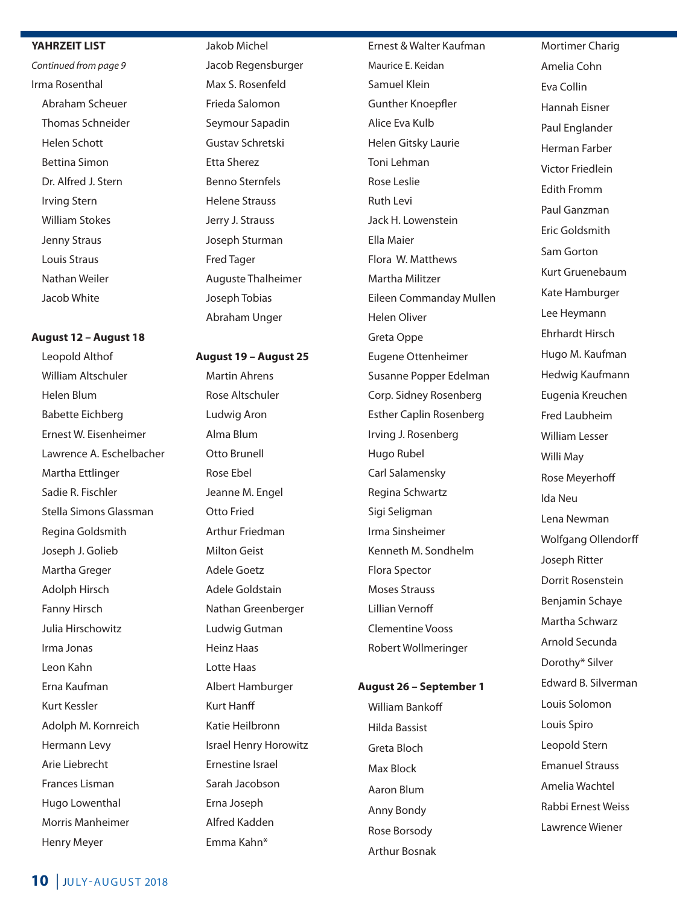#### **YAhRZEIT lIST**

*Continued from page 9* Irma Rosenthal Abraham Scheuer Thomas Schneider Helen Schott Bettina Simon Dr. Alfred J. Stern Irving Stern William Stokes Jenny Straus Louis Straus Nathan Weiler Jacob White

#### **August 12 – August 18**

 Leopold Althof William Altschuler Helen Blum Babette Eichberg Ernest W. Eisenheimer Lawrence A. Eschelbacher Martha Ettlinger Sadie R. Fischler Stella Simons Glassman Regina Goldsmith Joseph J. Golieb Martha Greger Adolph Hirsch Fanny Hirsch Julia Hirschowitz Irma Jonas Leon Kahn Erna Kaufman Kurt Kessler Adolph M. Kornreich Hermann Levy Arie Liebrecht Frances Lisman Hugo Lowenthal Morris Manheimer Henry Meyer

 Jakob michel Jacob Regensburger Max S. Rosenfeld Frieda Salomon Seymour Sapadin Gustav Schretski Etta Sherez Benno Sternfels Helene Strauss Jerry J. Strauss Joseph Sturman Fred Tager Auguste Thalheimer Joseph Tobias Abraham Unger

#### **August 19 – August 25**

 martin Ahrens Rose Altschuler Ludwig Aron Alma Blum Otto Brunell Rose Ebel Jeanne M. Engel Otto Fried Arthur Friedman milton Geist Adele Goetz Adele Goldstain Nathan Greenberger Ludwig Gutman Heinz Haas Lotte Haas Albert Hamburger Kurt Hanff Katie Heilbronn Israel Henry Horowitz Ernestine Israel Sarah Jacobson Erna Joseph Alfred Kadden Emma Kahn\*

 Ernest & Walter Kaufman maurice E. Keidan Samuel Klein Gunther Knoepfler Alice Eva Kulb Helen Gitsky Laurie Toni Lehman Rose Leslie Ruth Levi Jack H. Lowenstein Ella maier Flora W. Matthews Martha Militzer Eileen Commanday mullen Helen Oliver Greta Oppe Eugene Ottenheimer Susanne Popper Edelman Corp. Sidney Rosenberg Esther Caplin Rosenberg Irving J. Rosenberg Hugo Rubel Carl Salamensky Regina Schwartz Sigi Seligman Irma Sinsheimer Kenneth m. Sondhelm Flora Spector Moses Strauss Lillian Vernoff Clementine Vooss Robert Wollmeringer

#### **August 26 – September 1**

 William Bankoff Hilda Bassist Greta Bloch Max Block Aaron Blum Anny Bondy Rose Borsody Arthur Bosnak

Mortimer Charig Amelia Cohn Eva Collin Hannah Eisner Paul Englander Herman Farber Victor Friedlein Edith Fromm Paul Ganzman Eric Goldsmith Sam Gorton Kurt Gruenebaum Kate Hamburger Lee Heymann Ehrhardt Hirsch Hugo M. Kaufman Hedwig Kaufmann Eugenia Kreuchen Fred Laubheim William Lesser Willi May Rose Meyerhoff Ida Neu Lena Newman Wolfgang Ollendorff Joseph Ritter Dorrit Rosenstein Benjamin Schaye Martha Schwarz Arnold Secunda Dorothy\* Silver Edward B. Silverman Louis Solomon Louis Spiro Leopold Stern Emanuel Strauss Amelia Wachtel Rabbi Ernest Weiss Lawrence Wiener

### **10** JULY-AUGUST 2018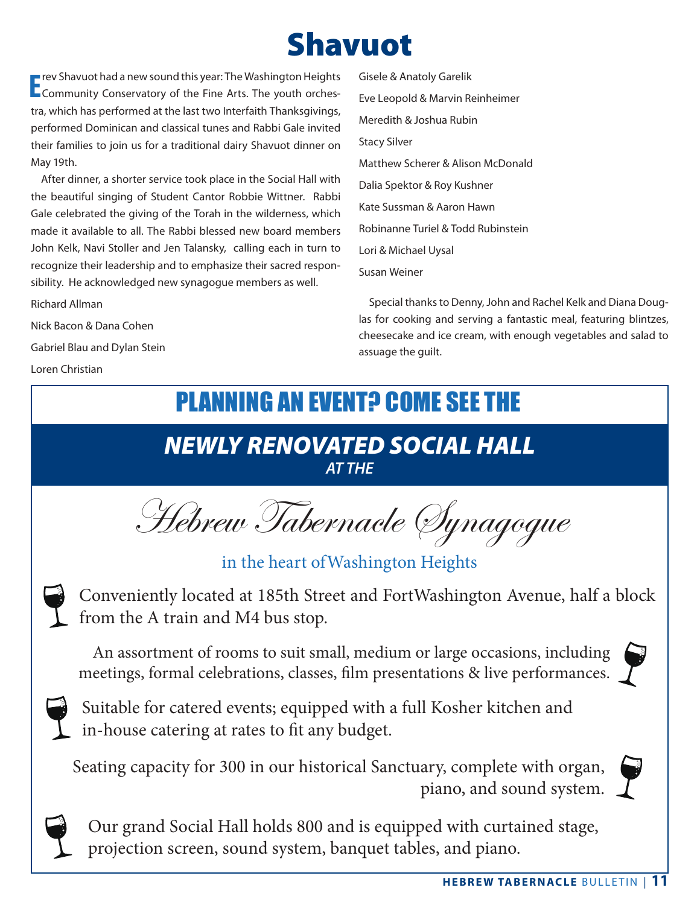# Shavuot

**E** rev Shavuot had a new sound this year: The Washington Heights<br> **E** Community Conservatory of the Fine Arts. The youth orchesrev Shavuot had a new sound this year: The Washington Heights tra, which has performed at the last two Interfaith Thanksgivings, performed Dominican and classical tunes and Rabbi Gale invited their families to join us for a traditional dairy Shavuot dinner on May 19th.

After dinner, a shorter service took place in the Social Hall with the beautiful singing of Student Cantor Robbie Wittner. Rabbi Gale celebrated the giving of the Torah in the wilderness, which made it available to all. The Rabbi blessed new board members John Kelk, Navi Stoller and Jen Talansky, calling each in turn to recognize their leadership and to emphasize their sacred responsibility. He acknowledged new synagogue members as well.

Richard Allman

Nick Bacon & Dana Cohen Gabriel Blau and Dylan Stein Loren Christian

Gisele & Anatoly Garelik Eve Leopold & marvin Reinheimer meredith & Joshua Rubin Stacy Silver matthew Scherer & Alison mcDonald Dalia Spektor & Roy Kushner Kate Sussman & Aaron Hawn Robinanne Turiel & Todd Rubinstein Lori & michael Uysal Susan Weiner

Special thanks to Denny, John and Rachel Kelk and Diana Douglas for cooking and serving a fantastic meal, featuring blintzes, cheesecake and ice cream, with enough vegetables and salad to assuage the guilt.

# **PLANNING AN EVENT? COME SEE THE**

## *NEWLY RENOVATED SOCIAL HALL AT THE*

Hebrew Tabernacle Synagogue

in the heart ofWashington Heights

Conveniently located at 185th Street and FortWashington Avenue, half a block from the A train and M4 bus stop.

An assortment of rooms to suit small, medium or large occasions, including meetings, formal celebrations, classes, film presentations & live performances.

Suitable for catered events; equipped with a full Kosher kitchen and in-house catering at rates to fit any budget.

Seating capacity for 300 in our historical Sanctuary, complete with organ, piano, and sound system.

Our grand Social Hall holds 800 and is equipped with curtained stage, projection screen, sound system, banquet tables, and piano.